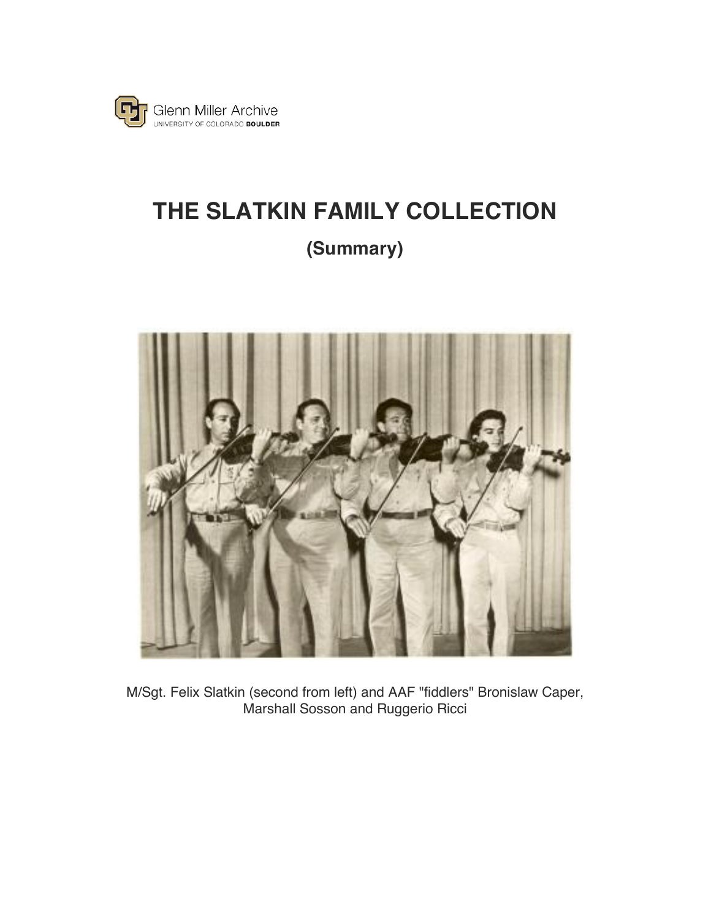

## **THE SLATKIN FAMILY COLLECTION (Summary)**



M/Sgt. Felix Slatkin (second from left) and AAF "fiddlers" Bronislaw Caper, Marshall Sosson and Ruggerio Ricci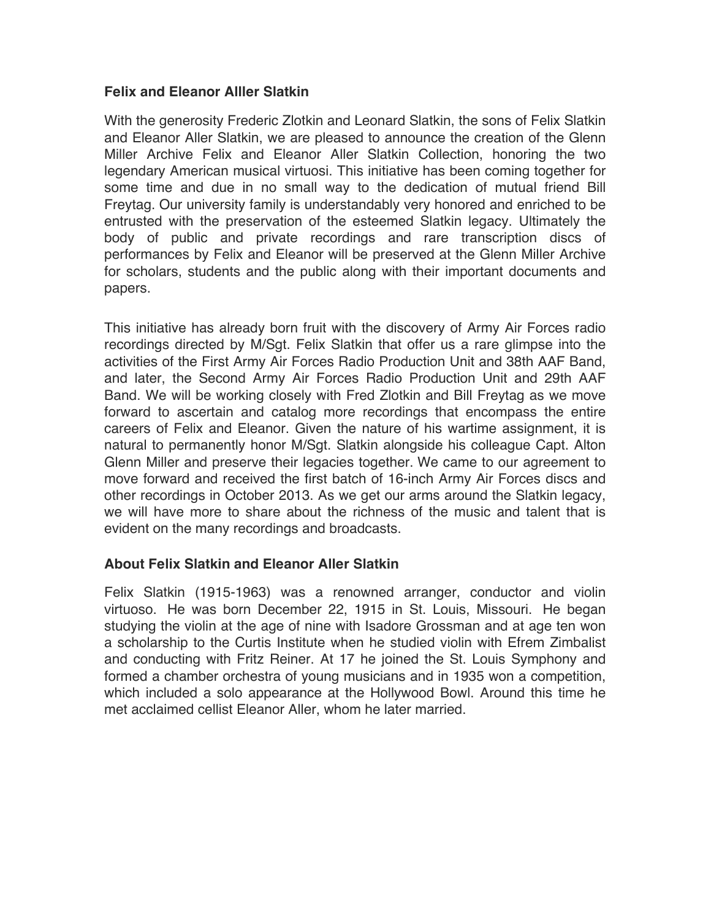## **Felix and Eleanor Alller Slatkin**

With the generosity Frederic Zlotkin and Leonard Slatkin, the sons of Felix Slatkin and Eleanor Aller Slatkin, we are pleased to announce the creation of the Glenn Miller Archive Felix and Eleanor Aller Slatkin Collection, honoring the two legendary American musical virtuosi. This initiative has been coming together for some time and due in no small way to the dedication of mutual friend Bill Freytag. Our university family is understandably very honored and enriched to be entrusted with the preservation of the esteemed Slatkin legacy. Ultimately the body of public and private recordings and rare transcription discs of performances by Felix and Eleanor will be preserved at the Glenn Miller Archive for scholars, students and the public along with their important documents and papers.

This initiative has already born fruit with the discovery of Army Air Forces radio recordings directed by M/Sgt. Felix Slatkin that offer us a rare glimpse into the activities of the First Army Air Forces Radio Production Unit and 38th AAF Band, and later, the Second Army Air Forces Radio Production Unit and 29th AAF Band. We will be working closely with Fred Zlotkin and Bill Freytag as we move forward to ascertain and catalog more recordings that encompass the entire careers of Felix and Eleanor. Given the nature of his wartime assignment, it is natural to permanently honor M/Sgt. Slatkin alongside his colleague Capt. Alton Glenn Miller and preserve their legacies together. We came to our agreement to move forward and received the first batch of 16-inch Army Air Forces discs and other recordings in October 2013. As we get our arms around the Slatkin legacy, we will have more to share about the richness of the music and talent that is evident on the many recordings and broadcasts.

## **About Felix Slatkin and Eleanor Aller Slatkin**

Felix Slatkin (1915-1963) was a renowned arranger, conductor and violin virtuoso. He was born December 22, 1915 in St. Louis, Missouri. He began studying the violin at the age of nine with Isadore Grossman and at age ten won a scholarship to the Curtis Institute when he studied violin with Efrem Zimbalist and conducting with Fritz Reiner. At 17 he joined the St. Louis Symphony and formed a chamber orchestra of young musicians and in 1935 won a competition, which included a solo appearance at the Hollywood Bowl. Around this time he met acclaimed cellist Eleanor Aller, whom he later married.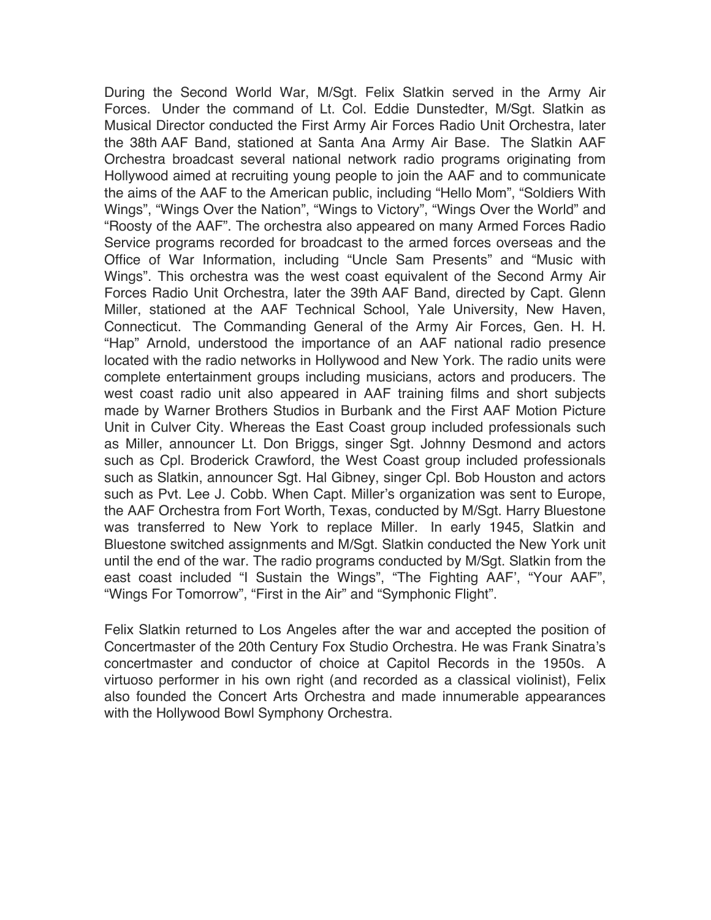During the Second World War, M/Sgt. Felix Slatkin served in the Army Air Forces. Under the command of Lt. Col. Eddie Dunstedter, M/Sgt. Slatkin as Musical Director conducted the First Army Air Forces Radio Unit Orchestra, later the 38th AAF Band, stationed at Santa Ana Army Air Base. The Slatkin AAF Orchestra broadcast several national network radio programs originating from Hollywood aimed at recruiting young people to join the AAF and to communicate the aims of the AAF to the American public, including "Hello Mom", "Soldiers With Wings", "Wings Over the Nation", "Wings to Victory", "Wings Over the World" and "Roosty of the AAF". The orchestra also appeared on many Armed Forces Radio Service programs recorded for broadcast to the armed forces overseas and the Office of War Information, including "Uncle Sam Presents" and "Music with Wings". This orchestra was the west coast equivalent of the Second Army Air Forces Radio Unit Orchestra, later the 39th AAF Band, directed by Capt. Glenn Miller, stationed at the AAF Technical School, Yale University, New Haven, Connecticut. The Commanding General of the Army Air Forces, Gen. H. H. "Hap" Arnold, understood the importance of an AAF national radio presence located with the radio networks in Hollywood and New York. The radio units were complete entertainment groups including musicians, actors and producers. The west coast radio unit also appeared in AAF training films and short subjects made by Warner Brothers Studios in Burbank and the First AAF Motion Picture Unit in Culver City. Whereas the East Coast group included professionals such as Miller, announcer Lt. Don Briggs, singer Sgt. Johnny Desmond and actors such as Cpl. Broderick Crawford, the West Coast group included professionals such as Slatkin, announcer Sgt. Hal Gibney, singer Cpl. Bob Houston and actors such as Pvt. Lee J. Cobb. When Capt. Miller's organization was sent to Europe, the AAF Orchestra from Fort Worth, Texas, conducted by M/Sgt. Harry Bluestone was transferred to New York to replace Miller. In early 1945, Slatkin and Bluestone switched assignments and M/Sgt. Slatkin conducted the New York unit until the end of the war. The radio programs conducted by M/Sgt. Slatkin from the east coast included "I Sustain the Wings", "The Fighting AAF', "Your AAF", "Wings For Tomorrow", "First in the Air" and "Symphonic Flight".

Felix Slatkin returned to Los Angeles after the war and accepted the position of Concertmaster of the 20th Century Fox Studio Orchestra. He was Frank Sinatra's concertmaster and conductor of choice at Capitol Records in the 1950s. A virtuoso performer in his own right (and recorded as a classical violinist), Felix also founded the Concert Arts Orchestra and made innumerable appearances with the Hollywood Bowl Symphony Orchestra.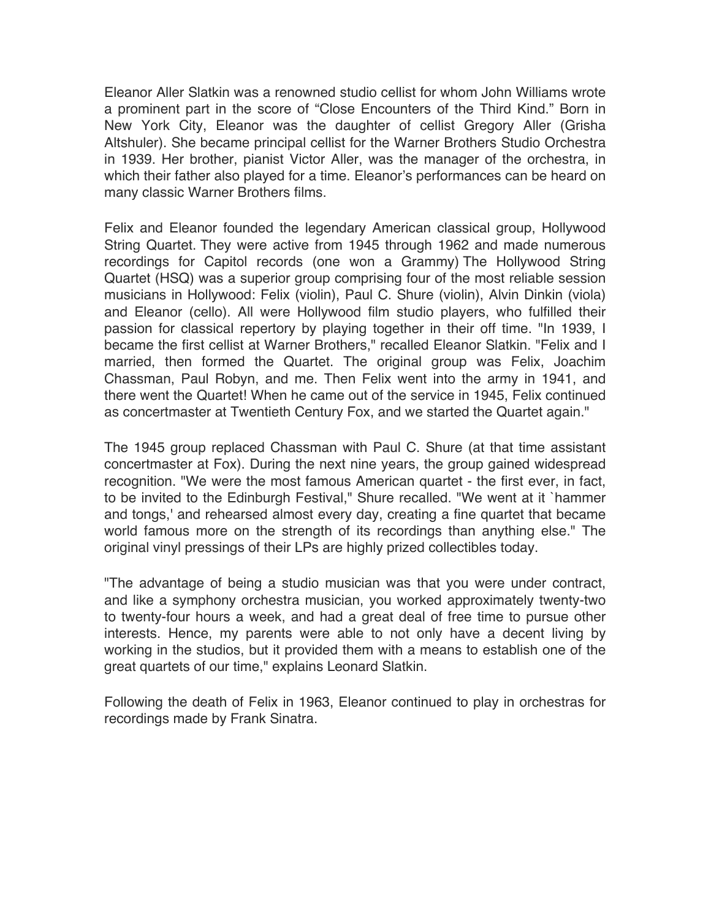Eleanor Aller Slatkin was a renowned studio cellist for whom John Williams wrote a prominent part in the score of "Close Encounters of the Third Kind." Born in New York City, Eleanor was the daughter of cellist Gregory Aller (Grisha Altshuler). She became principal cellist for the Warner Brothers Studio Orchestra in 1939. Her brother, pianist Victor Aller, was the manager of the orchestra, in which their father also played for a time. Eleanor's performances can be heard on many classic Warner Brothers films.

Felix and Eleanor founded the legendary American classical group, Hollywood String Quartet. They were active from 1945 through 1962 and made numerous recordings for Capitol records (one won a Grammy) The Hollywood String Quartet (HSQ) was a superior group comprising four of the most reliable session musicians in Hollywood: Felix (violin), Paul C. Shure (violin), Alvin Dinkin (viola) and Eleanor (cello). All were Hollywood film studio players, who fulfilled their passion for classical repertory by playing together in their off time. "In 1939, I became the first cellist at Warner Brothers," recalled Eleanor Slatkin. "Felix and I married, then formed the Quartet. The original group was Felix, Joachim Chassman, Paul Robyn, and me. Then Felix went into the army in 1941, and there went the Quartet! When he came out of the service in 1945, Felix continued as concertmaster at Twentieth Century Fox, and we started the Quartet again."

The 1945 group replaced Chassman with Paul C. Shure (at that time assistant concertmaster at Fox). During the next nine years, the group gained widespread recognition. "We were the most famous American quartet - the first ever, in fact, to be invited to the Edinburgh Festival," Shure recalled. "We went at it `hammer and tongs,' and rehearsed almost every day, creating a fine quartet that became world famous more on the strength of its recordings than anything else." The original vinyl pressings of their LPs are highly prized collectibles today.

"The advantage of being a studio musician was that you were under contract, and like a symphony orchestra musician, you worked approximately twenty-two to twenty-four hours a week, and had a great deal of free time to pursue other interests. Hence, my parents were able to not only have a decent living by working in the studios, but it provided them with a means to establish one of the great quartets of our time," explains Leonard Slatkin.

Following the death of Felix in 1963, Eleanor continued to play in orchestras for recordings made by Frank Sinatra.